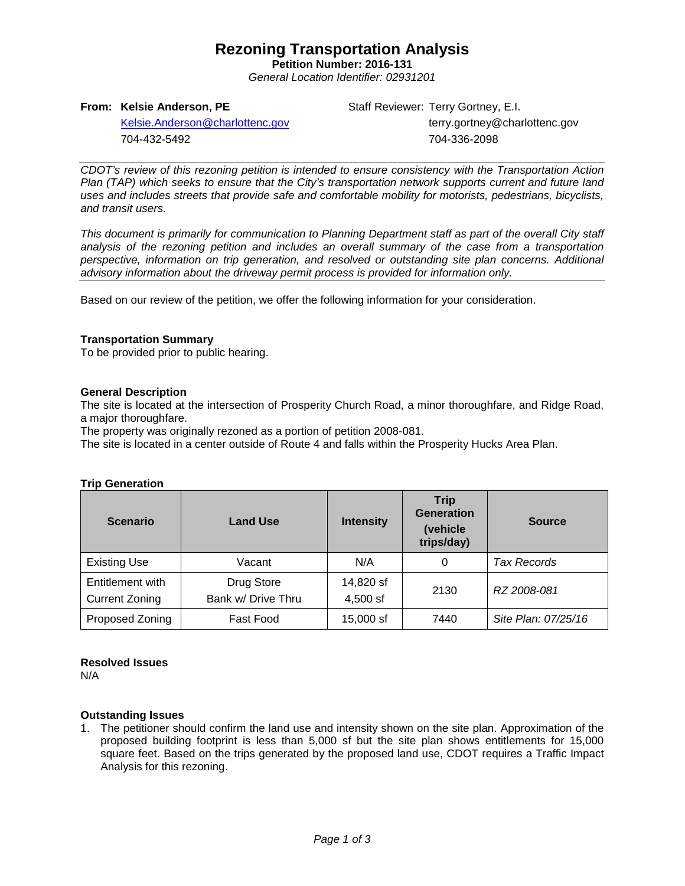### **Rezoning Transportation Analysis**

**Petition Number: 2016-131** *General Location Identifier: 02931201*

#### **From: Kelsie Anderson, PE**

Staff Reviewer: Terry Gortney, E.I. terry.gortney@charlottenc.gov 704-336-2098

[Kelsie.Anderson@charlottenc.gov](mailto:Kelsie.Anderson@charlottenc.gov) 704-432-5492

*CDOT's review of this rezoning petition is intended to ensure consistency with the Transportation Action Plan (TAP) which seeks to ensure that the City's transportation network supports current and future land uses and includes streets that provide safe and comfortable mobility for motorists, pedestrians, bicyclists, and transit users.*

*This document is primarily for communication to Planning Department staff as part of the overall City staff analysis of the rezoning petition and includes an overall summary of the case from a transportation perspective, information on trip generation, and resolved or outstanding site plan concerns. Additional advisory information about the driveway permit process is provided for information only.*

Based on our review of the petition, we offer the following information for your consideration.

#### **Transportation Summary**

To be provided prior to public hearing.

#### **General Description**

The site is located at the intersection of Prosperity Church Road, a minor thoroughfare, and Ridge Road, a major thoroughfare.

The property was originally rezoned as a portion of petition 2008-081.

The site is located in a center outside of Route 4 and falls within the Prosperity Hucks Area Plan.

#### **Trip Generation**

| <b>Scenario</b>                           | <b>Land Use</b>                  | <b>Intensity</b>      | <b>Trip</b><br><b>Generation</b><br>(vehicle<br>trips/day) | <b>Source</b>       |  |
|-------------------------------------------|----------------------------------|-----------------------|------------------------------------------------------------|---------------------|--|
| <b>Existing Use</b>                       | Vacant                           | N/A                   | 0                                                          | <b>Tax Records</b>  |  |
| Entitlement with<br><b>Current Zoning</b> | Drug Store<br>Bank w/ Drive Thru | 14,820 sf<br>4,500 sf | 2130                                                       | RZ 2008-081         |  |
| Proposed Zoning                           | <b>Fast Food</b>                 | 15,000 sf             | 7440                                                       | Site Plan: 07/25/16 |  |

#### **Resolved Issues**

N/A

#### **Outstanding Issues**

1. The petitioner should confirm the land use and intensity shown on the site plan. Approximation of the proposed building footprint is less than 5,000 sf but the site plan shows entitlements for 15,000 square feet. Based on the trips generated by the proposed land use, CDOT requires a Traffic Impact Analysis for this rezoning.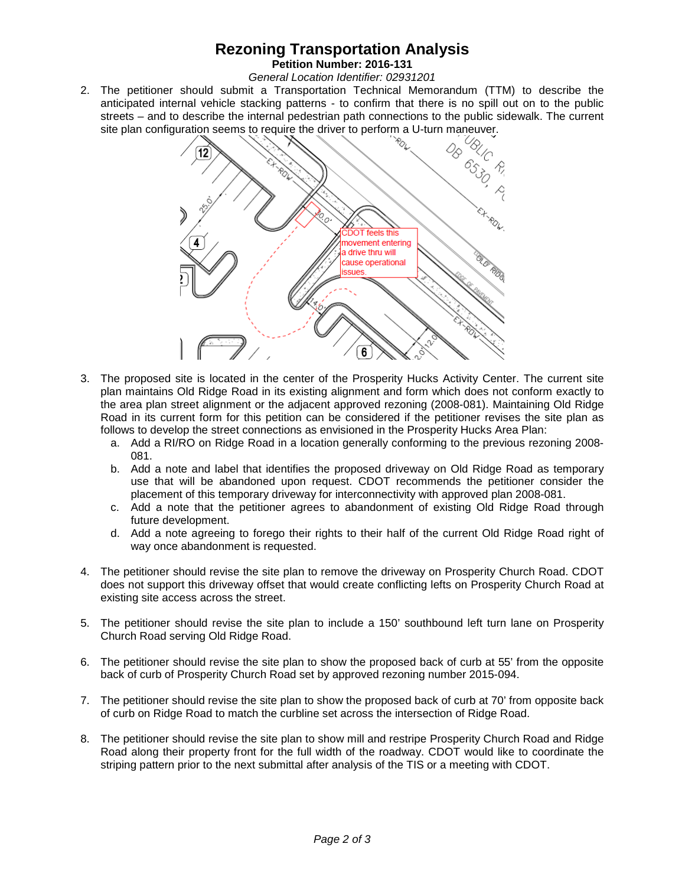## **Rezoning Transportation Analysis**

**Petition Number: 2016-131** *General Location Identifier: 02931201*

2. The petitioner should submit a Transportation Technical Memorandum (TTM) to describe the anticipated internal vehicle stacking patterns - to confirm that there is no spill out on to the public streets – and to describe the internal pedestrian path connections to the public sidewalk. The current site plan configuration seems to require the driver to perform a U-turn maneuver.



- 3. The proposed site is located in the center of the Prosperity Hucks Activity Center. The current site plan maintains Old Ridge Road in its existing alignment and form which does not conform exactly to the area plan street alignment or the adjacent approved rezoning (2008-081). Maintaining Old Ridge Road in its current form for this petition can be considered if the petitioner revises the site plan as follows to develop the street connections as envisioned in the Prosperity Hucks Area Plan:
	- a. Add a RI/RO on Ridge Road in a location generally conforming to the previous rezoning 2008- 081.
	- b. Add a note and label that identifies the proposed driveway on Old Ridge Road as temporary use that will be abandoned upon request. CDOT recommends the petitioner consider the placement of this temporary driveway for interconnectivity with approved plan 2008-081.
	- c. Add a note that the petitioner agrees to abandonment of existing Old Ridge Road through future development.
	- d. Add a note agreeing to forego their rights to their half of the current Old Ridge Road right of way once abandonment is requested.
- 4. The petitioner should revise the site plan to remove the driveway on Prosperity Church Road. CDOT does not support this driveway offset that would create conflicting lefts on Prosperity Church Road at existing site access across the street.
- 5. The petitioner should revise the site plan to include a 150' southbound left turn lane on Prosperity Church Road serving Old Ridge Road.
- 6. The petitioner should revise the site plan to show the proposed back of curb at 55' from the opposite back of curb of Prosperity Church Road set by approved rezoning number 2015-094.
- 7. The petitioner should revise the site plan to show the proposed back of curb at 70' from opposite back of curb on Ridge Road to match the curbline set across the intersection of Ridge Road.
- 8. The petitioner should revise the site plan to show mill and restripe Prosperity Church Road and Ridge Road along their property front for the full width of the roadway. CDOT would like to coordinate the striping pattern prior to the next submittal after analysis of the TIS or a meeting with CDOT.